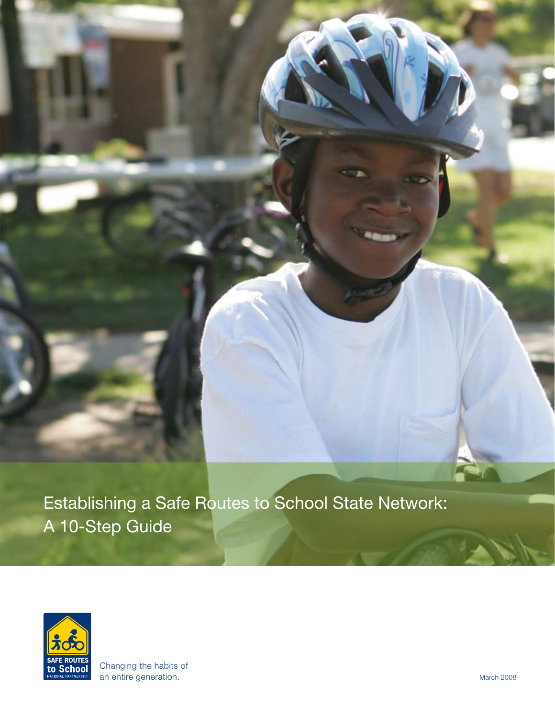Establishing a Safe Routes to School State Network: A 10-Step Guide



Changing the habits of an entire generation. March 2008

Safe Routes to School National Partnership **1**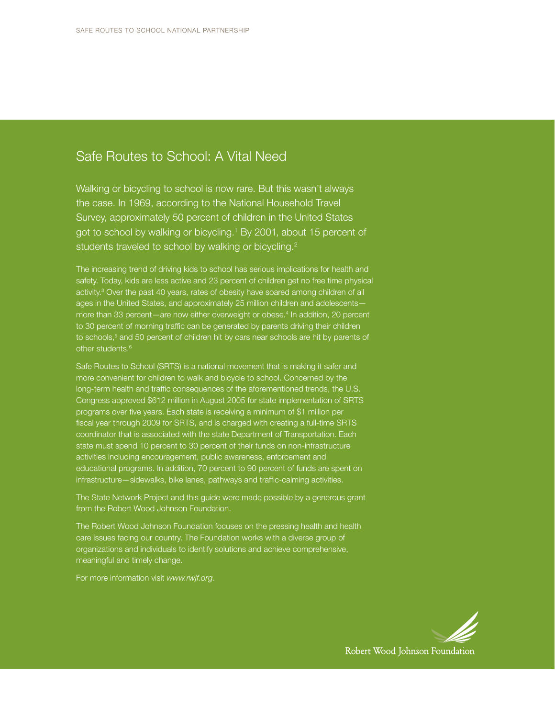# Safe Routes to School: A Vital Need

Walking or bicycling to school is now rare. But this wasn't always the case. In 1969, according to the National Household Travel Survey, approximately 50 percent of children in the United States got to school by walking or bicycling.<sup>1</sup> By 2001, about 15 percent of students traveled to school by walking or bicycling.<sup>2</sup>

The increasing trend of driving kids to school has serious implications for health and safety. Today, kids are less active and 23 percent of children get no free time physical activity.<sup>3</sup> Over the past 40 years, rates of obesity have soared among children of all ages in the United States, and approximately 25 million children and adolescents more than 33 percent—are now either overweight or obese.<sup>4</sup> In addition, 20 percent to 30 percent of morning traffic can be generated by parents driving their children to schools,<sup>5</sup> and 50 percent of children hit by cars near schools are hit by parents of other students.<sup>6</sup>

Safe Routes to School (SRTS) is a national movement that is making it safer and more convenient for children to walk and bicycle to school. Concerned by the long-term health and traffic consequences of the aforementioned trends, the U.S. Congress approved \$612 million in August 2005 for state implementation of SRTS programs over five years. Each state is receiving a minimum of \$1 million per fiscal year through 2009 for SRTS, and is charged with creating a full-time SRTS coordinator that is associated with the state Department of Transportation. Each state must spend 10 percent to 30 percent of their funds on non-infrastructure activities including encouragement, public awareness, enforcement and educational programs. In addition, 70 percent to 90 percent of funds are spent on infrastructure—sidewalks, bike lanes, pathways and traffic-calming activities.

The State Network Project and this guide were made possible by a generous grant from the Robert Wood Johnson Foundation.

The Robert Wood Johnson Foundation focuses on the pressing health and health care issues facing our country. The Foundation works with a diverse group of organizations and individuals to identify solutions and achieve comprehensive, meaningful and timely change.

For more information visit *www.rwjf.org*.

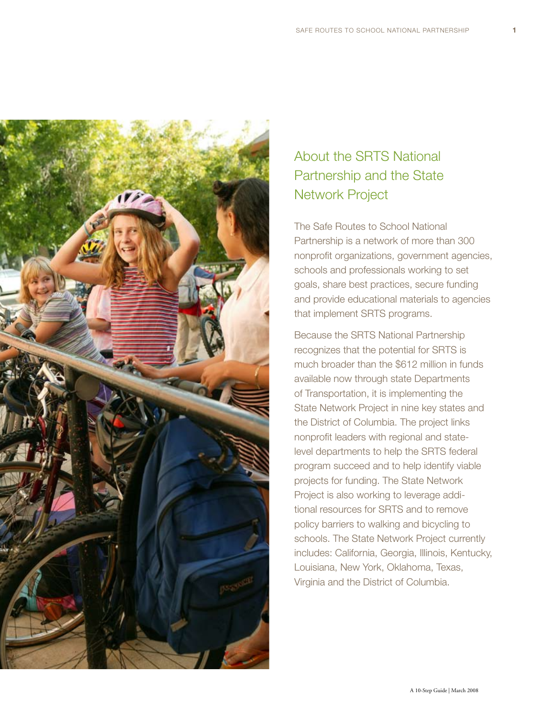

# About the SRTS National Partnership and the State Network Project

The Safe Routes to School National Partnership is a network of more than 300 nonprofit organizations, government agencies, schools and professionals working to set goals, share best practices, secure funding and provide educational materials to agencies that implement SRTS programs.

Because the SRTS National Partnership recognizes that the potential for SRTS is much broader than the \$612 million in funds available now through state Departments of Transportation, it is implementing the State Network Project in nine key states and the District of Columbia. The project links nonprofit leaders with regional and statelevel departments to help the SRTS federal program succeed and to help identify viable projects for funding. The State Network Project is also working to leverage additional resources for SRTS and to remove policy barriers to walking and bicycling to schools. The State Network Project currently includes: California, Georgia, Illinois, Kentucky, Louisiana, New York, Oklahoma, Texas, Virginia and the District of Columbia.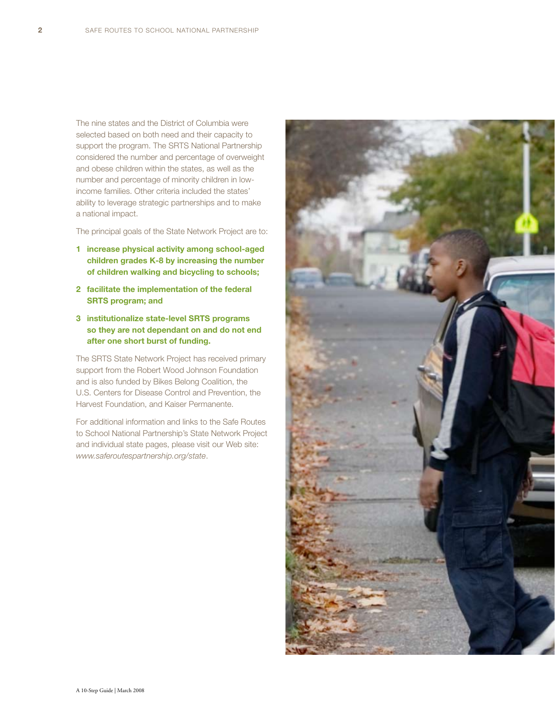The nine states and the District of Columbia were selected based on both need and their capacity to support the program. The SRTS National Partnership considered the number and percentage of overweight and obese children within the states, as well as the number and percentage of minority children in lowincome families. Other criteria included the states' ability to leverage strategic partnerships and to make a national impact.

The principal goals of the State Network Project are to:

- **1 increase physical activity among school-aged children grades K-8 by increasing the number of children walking and bicycling to schools;**
- **2 facilitate the implementation of the federal SRTS program; and**
- **3 institutionalize state-level SRTS programs so they are not dependant on and do not end after one short burst of funding.**

The SRTS State Network Project has received primary support from the Robert Wood Johnson Foundation and is also funded by Bikes Belong Coalition, the U.S. Centers for Disease Control and Prevention, the Harvest Foundation, and Kaiser Permanente.

For additional information and links to the Safe Routes to School National Partnership's State Network Project and individual state pages, please visit our Web site: *www.saferoutespartnership.org/state*.

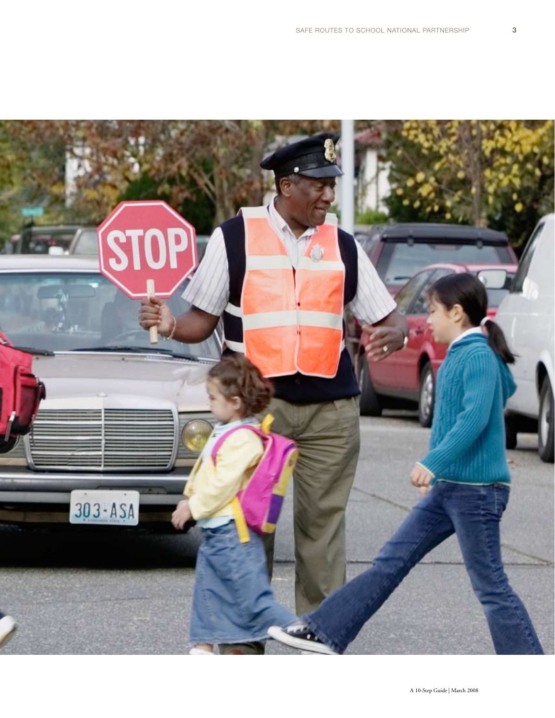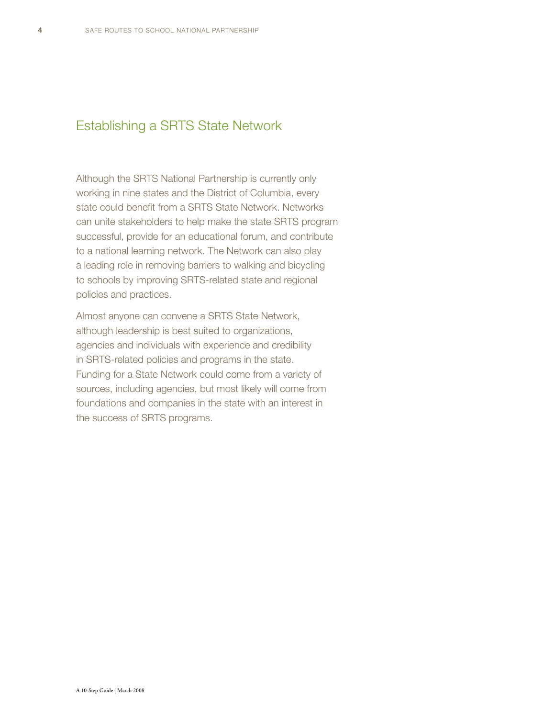# Establishing a SRTS State Network

Although the SRTS National Partnership is currently only working in nine states and the District of Columbia, every state could benefit from a SRTS State Network. Networks can unite stakeholders to help make the state SRTS program successful, provide for an educational forum, and contribute to a national learning network. The Network can also play a leading role in removing barriers to walking and bicycling to schools by improving SRTS-related state and regional policies and practices.

Almost anyone can convene a SRTS State Network, although leadership is best suited to organizations, agencies and individuals with experience and credibility in SRTS-related policies and programs in the state. Funding for a State Network could come from a variety of sources, including agencies, but most likely will come from foundations and companies in the state with an interest in the success of SRTS programs.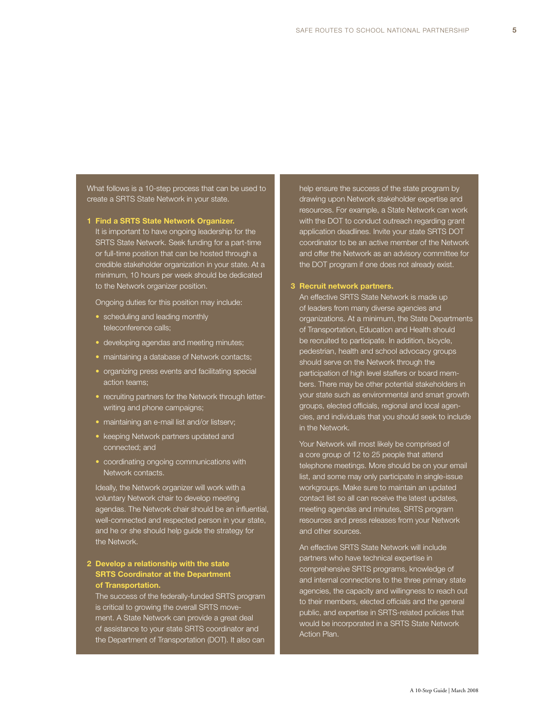What follows is a 10-step process that can be used to create a SRTS State Network in your state.

- **1 Find a SRTS State Network Organizer.** 
	- It is important to have ongoing leadership for the SRTS State Network. Seek funding for a part-time or full-time position that can be hosted through a credible stakeholder organization in your state. At a minimum, 10 hours per week should be dedicated to the Network organizer position.

  Ongoing duties for this position may include:

- scheduling and leading monthly teleconference calls;
- developing agendas and meeting minutes;
- maintaining a database of Network contacts;
- organizing press events and facilitating special action teams;
- recruiting partners for the Network through letterwriting and phone campaigns;
- maintaining an e-mail list and/or listserv;
- keeping Network partners updated and connected; and
- coordinating ongoing communications with Network contacts.

   Ideally, the Network organizer will work with a voluntary Network chair to develop meeting agendas. The Network chair should be an influential, well-connected and respected person in your state, and he or she should help guide the strategy for the Network.

### **2 Develop a relationship with the state SRTS Coordinator at the Department of Transportation.**

The success of the federally-funded SRTS program is critical to growing the overall SRTS movement. A State Network can provide a great deal of assistance to your state SRTS coordinator and the Department of Transportation (DOT). It also can

help ensure the success of the state program by drawing upon Network stakeholder expertise and resources. For example, a State Network can work with the DOT to conduct outreach regarding grant application deadlines. Invite your state SRTS DOT coordinator to be an active member of the Network and offer the Network as an advisory committee for the DOT program if one does not already exist.

#### **3 Recruit network partners.**

An effective SRTS State Network is made up of leaders from many diverse agencies and organizations. At a minimum, the State Departments of Transportation, Education and Health should be recruited to participate. In addition, bicycle, pedestrian, health and school advocacy groups should serve on the Network through the participation of high level staffers or board members. There may be other potential stakeholders in your state such as environmental and smart growth groups, elected officials, regional and local agencies, and individuals that you should seek to include in the Network.

 Your Network will most likely be comprised of a core group of 12 to 25 people that attend telephone meetings. More should be on your email list, and some may only participate in single-issue workgroups. Make sure to maintain an updated contact list so all can receive the latest updates, meeting agendas and minutes, SRTS program resources and press releases from your Network and other sources.

   An effective SRTS State Network will include partners who have technical expertise in comprehensive SRTS programs, knowledge of and internal connections to the three primary state agencies, the capacity and willingness to reach out to their members, elected officials and the general public, and expertise in SRTS-related policies that would be incorporated in a SRTS State Network Action Plan.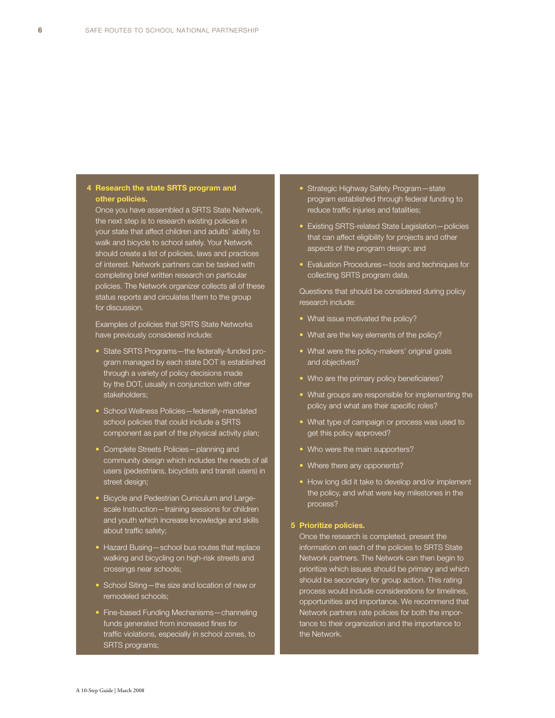### **4 Research the state SRTS program and other policies.**

   Once you have assembled a SRTS State Network, the next step is to research existing policies in your state that affect children and adults' ability to walk and bicycle to school safely. Your Network should create a list of policies, laws and practices of interest. Network partners can be tasked with completing brief written research on particular policies. The Network organizer collects all of these status reports and circulates them to the group for discussion.

   Examples of policies that SRTS State Networks have previously considered include:

- State SRTS Programs—the federally-funded program managed by each state DOT is established through a variety of policy decisions made by the DOT, usually in conjunction with other stakeholders;
- School Wellness Policies—federally-mandated school policies that could include a SRTS component as part of the physical activity plan;
- Complete Streets Policies planning and community design which includes the needs of all users (pedestrians, bicyclists and transit users) in street design;
- Bicycle and Pedestrian Curriculum and Largescale Instruction—training sessions for children and youth which increase knowledge and skills about traffic safety;
- Hazard Busing-school bus routes that replace walking and bicycling on high-risk streets and crossings near schools;
- School Siting-the size and location of new or remodeled schools;
- Fine-based Funding Mechanisms-channeling funds generated from increased fines for traffic violations, especially in school zones, to SRTS programs;
- Strategic Highway Safety Program—state program established through federal funding to reduce traffic injuries and fatalities;
- Existing SRTS-related State Legislation-policies that can affect eligibility for projects and other aspects of the program design; and
- Evaluation Procedures-tools and techniques for collecting SRTS program data.

 Questions that should be considered during policy research include:

- What issue motivated the policy?
- What are the key elements of the policy?
- What were the policy-makers' original goals and objectives?
- Who are the primary policy beneficiaries?
- What groups are responsible for implementing the policy and what are their specific roles?
- What type of campaign or process was used to get this policy approved?
- Who were the main supporters?
- Where there any opponents?
- How long did it take to develop and/or implement the policy, and what were key milestones in the process?

#### **5 Prioritize policies.**

Once the research is completed, present the information on each of the policies to SRTS State Network partners. The Network can then begin to prioritize which issues should be primary and which should be secondary for group action. This rating process would include considerations for timelines, opportunities and importance. We recommend that Network partners rate policies for both the importance to their organization and the importance to the Network.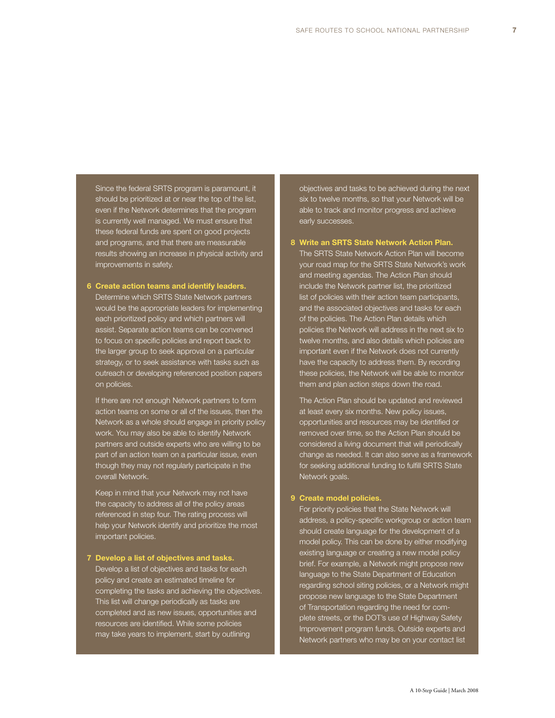Since the federal SRTS program is paramount, it should be prioritized at or near the top of the list, even if the Network determines that the program is currently well managed. We must ensure that these federal funds are spent on good projects and programs, and that there are measurable results showing an increase in physical activity and improvements in safety.

**6 Create action teams and identify leaders.** Determine which SRTS State Network partners would be the appropriate leaders for implementing each prioritized policy and which partners will assist. Separate action teams can be convened to focus on specific policies and report back to the larger group to seek approval on a particular strategy, or to seek assistance with tasks such as outreach or developing referenced position papers on policies.

 If there are not enough Network partners to form action teams on some or all of the issues, then the Network as a whole should engage in priority policy work. You may also be able to identify Network partners and outside experts who are willing to be part of an action team on a particular issue, even though they may not regularly participate in the overall Network.

 Keep in mind that your Network may not have the capacity to address all of the policy areas referenced in step four. The rating process will help your Network identify and prioritize the most important policies.

#### **7 Develop a list of objectives and tasks.**

Develop a list of objectives and tasks for each policy and create an estimated timeline for completing the tasks and achieving the objectives. This list will change periodically as tasks are completed and as new issues, opportunities and resources are identified. While some policies may take years to implement, start by outlining

objectives and tasks to be achieved during the next six to twelve months, so that your Network will be able to track and monitor progress and achieve early successes.

**8 Write an SRTS State Network Action Plan.** 

The SRTS State Network Action Plan will become your road map for the SRTS State Network's work and meeting agendas. The Action Plan should include the Network partner list, the prioritized list of policies with their action team participants, and the associated objectives and tasks for each of the policies. The Action Plan details which policies the Network will address in the next six to twelve months, and also details which policies are important even if the Network does not currently have the capacity to address them. By recording these policies, the Network will be able to monitor them and plan action steps down the road.

 The Action Plan should be updated and reviewed at least every six months. New policy issues, opportunities and resources may be identified or removed over time, so the Action Plan should be considered a living document that will periodically change as needed. It can also serve as a framework for seeking additional funding to fulfill SRTS State Network goals.

#### **9 Create model policies.**

For priority policies that the State Network will address, a policy-specific workgroup or action team should create language for the development of a model policy. This can be done by either modifying existing language or creating a new model policy brief. For example, a Network might propose new language to the State Department of Education regarding school siting policies, or a Network might propose new language to the State Department of Transportation regarding the need for complete streets, or the DOT's use of Highway Safety Improvement program funds. Outside experts and Network partners who may be on your contact list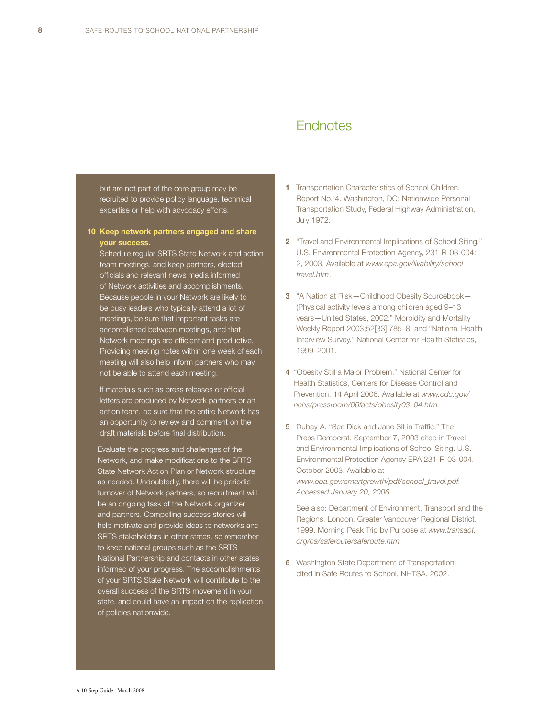### **Endnotes**

but are not part of the core group may be recruited to provide policy language, technical expertise or help with advocacy efforts.

#### **10 Keep network partners engaged and share your success.**

Schedule regular SRTS State Network and action team meetings, and keep partners, elected officials and relevant news media informed of Network activities and accomplishments. Because people in your Network are likely to be busy leaders who typically attend a lot of meetings, be sure that important tasks are accomplished between meetings, and that Network meetings are efficient and productive. Providing meeting notes within one week of each meeting will also help inform partners who may not be able to attend each meeting.

 If materials such as press releases or official letters are produced by Network partners or an action team, be sure that the entire Network has an opportunity to review and comment on the draft materials before final distribution.

 Evaluate the progress and challenges of the Network, and make modifications to the SRTS State Network Action Plan or Network structure as needed. Undoubtedly, there will be periodic turnover of Network partners, so recruitment will be an ongoing task of the Network organizer and partners. Compelling success stories will help motivate and provide ideas to networks and SRTS stakeholders in other states, so remember to keep national groups such as the SRTS National Partnership and contacts in other states informed of your progress. The accomplishments of your SRTS State Network will contribute to the overall success of the SRTS movement in your state, and could have an impact on the replication of policies nationwide.

- **1** Transportation Characteristics of School Children, Report No. 4. Washington, DC: Nationwide Personal Transportation Study, Federal Highway Administration, July 1972.
- **2** "Travel and Environmental Implications of School Siting." U.S. Environmental Protection Agency, 231-R-03-004: 2, 2003. Available at *www.epa.gov/livability/school\_ travel.htm*.
- **3** "A Nation at Risk—Childhood Obesity Sourcebook— (Physical activity levels among children aged 9–13 years—United States, 2002." Morbidity and Mortality Weekly Report 2003;52[33]:785–8, and "National Health Interview Survey." National Center for Health Statistics, 1999–2001.
- 4 "Obesity Still a Major Problem." National Center for Health Statistics, Centers for Disease Control and Prevention, 14 April 2006. Available at *www.cdc.gov/ nchs/pressroom/06facts/obesity03\_04.htm.*
- 5 Dubay A. "See Dick and Jane Sit in Traffic," The Press Democrat, September 7, 2003 cited in Travel and Environmental Implications of School Siting. U.S. Environmental Protection Agency EPA 231-R-03-004. October 2003. Available at *www.epa.gov/smartgrowth/pdf/school\_travel.pdf. Accessed January 20, 2006.*

 See also: Department of Environment, Transport and the Regions, London, Greater Vancouver Regional District. 1999. Morning Peak Trip by Purpose at *www.transact. org/ca/saferoute/saferoute.htm.*

6 Washington State Department of Transportation; cited in Safe Routes to School, NHTSA, 2002.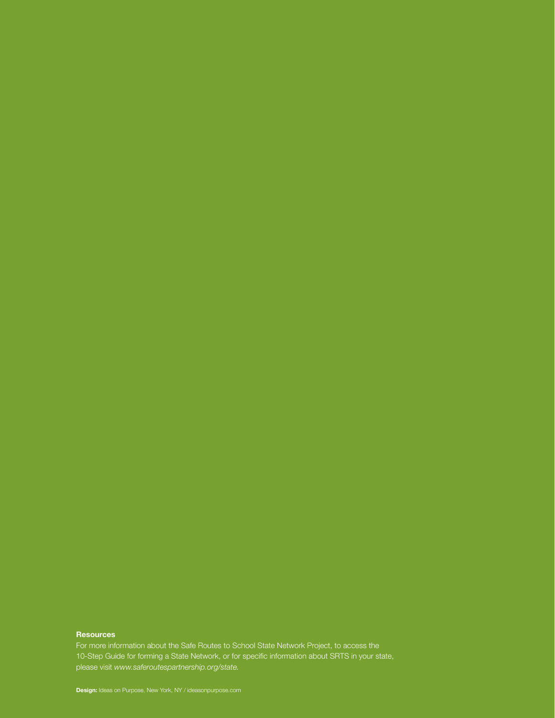#### **Resources**

For more information about the Safe Routes to School State Network Project, to access the 10-Step Guide for forming a State Network, or for specific information about SRTS in your state, please visit *www.saferoutespartnership.org/state.*